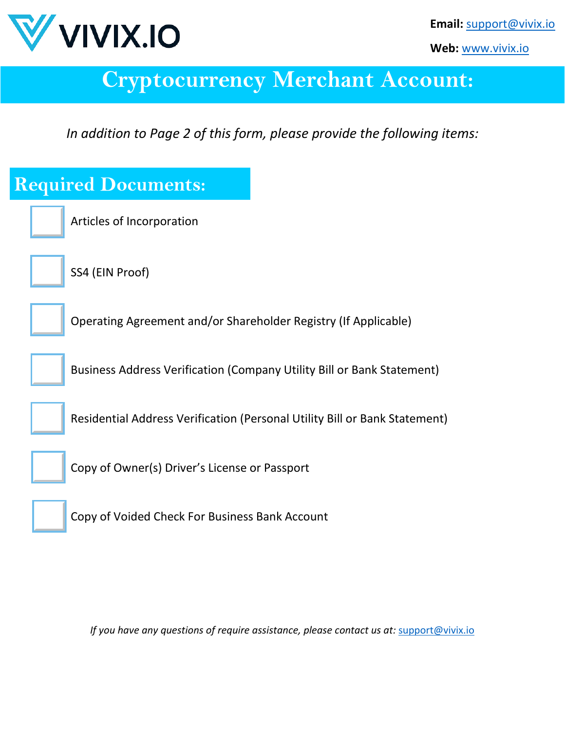

**Web:** [www.vivix.io](http://www.vivix.io/)

## **Cryptocurrency Merchant Account:**

*In addition to Page 2 of this form, please provide the following items:*

| <b>Required Documents:</b>                                                 |
|----------------------------------------------------------------------------|
| Articles of Incorporation                                                  |
| SS4 (EIN Proof)                                                            |
| Operating Agreement and/or Shareholder Registry (If Applicable)            |
| Business Address Verification (Company Utility Bill or Bank Statement)     |
| Residential Address Verification (Personal Utility Bill or Bank Statement) |
| Copy of Owner(s) Driver's License or Passport                              |
| Copy of Voided Check For Business Bank Account                             |
|                                                                            |

*If you have any questions of require assistance, please contact us at:* [support@vivix.io](mailto:support@vivix.io)